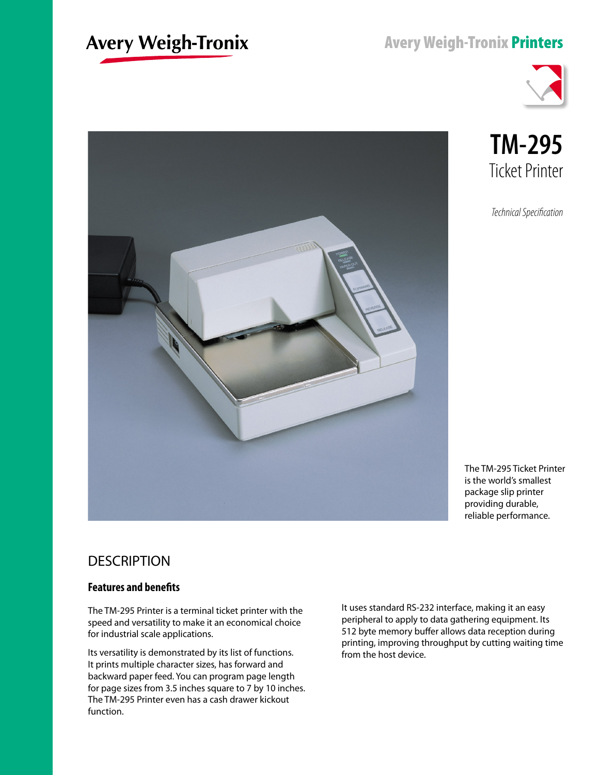# **Avery Weigh-Tronix**

## Avery Weigh-Tronix Printers



**TM-295** Ticket Printer

*Technical Specification*



### **DESCRIPTION**

#### **Features and benefits**

The TM-295 Printer is a terminal ticket printer with the speed and versatility to make it an economical choice for industrial scale applications.

Its versatility is demonstrated by its list of functions. It prints multiple character sizes, has forward and backward paper feed. You can program page length for page sizes from 3.5 inches square to 7 by 10 inches. The TM-295 Printer even has a cash drawer kickout function.

It uses standard RS-232 interface, making it an easy peripheral to apply to data gathering equipment. Its 512 byte memory buffer allows data reception during printing, improving throughput by cutting waiting time from the host device.